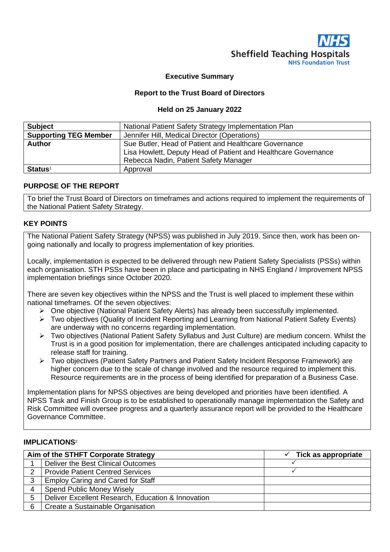

#### **Executive Summary**

#### **Report to the Trust Board of Directors**

#### **Held on 25 January 2022**

| <b>Subject</b>                                                               | National Patient Safety Strategy Implementation Plan           |  |  |
|------------------------------------------------------------------------------|----------------------------------------------------------------|--|--|
| <b>Supporting TEG Member</b><br>Jennifer Hill, Medical Director (Operations) |                                                                |  |  |
| <b>Author</b><br>Sue Butler, Head of Patient and Healthcare Governance       |                                                                |  |  |
|                                                                              | Lisa Howlett, Deputy Head of Patient and Healthcare Governance |  |  |
|                                                                              | Rebecca Nadin, Patient Safety Manager                          |  |  |
| <b>Status<sup>1</sup></b>                                                    | Approval                                                       |  |  |

#### **PURPOSE OF THE REPORT**

To brief the Trust Board of Directors on timeframes and actions required to implement the requirements of the National Patient Safety Strategy.

#### **KEY POINTS**

The National Patient Safety Strategy (NPSS) was published in July 2019. Since then, work has been ongoing nationally and locally to progress implementation of key priorities.

Locally, implementation is expected to be delivered through new Patient Safety Specialists (PSSs) within each organisation. STH PSSs have been in place and participating in NHS England / Improvement NPSS implementation briefings since October 2020.

There are seven key objectives within the NPSS and the Trust is well placed to implement these within national timeframes. Of the seven objectives:

- ➢ One objective (National Patient Safety Alerts) has already been successfully implemented.
- ➢ Two objectives (Quality of Incident Reporting and Learning from National Patient Safety Events) are underway with no concerns regarding implementation.
- ➢ Two objectives (National Patient Safety Syllabus and Just Culture) are medium concern. Whilst the Trust is in a good position for implementation, there are challenges anticipated including capacity to release staff for training.
- ➢ Two objectives (Patient Safety Partners and Patient Safety Incident Response Framework) are higher concern due to the scale of change involved and the resource required to implement this. Resource requirements are in the process of being identified for preparation of a Business Case.

Implementation plans for NPSS objectives are being developed and priorities have been identified. A NPSS Task and Finish Group is to be established to operationally manage implementation the Safety and Risk Committee will oversee progress and a quarterly assurance report will be provided to the Healthcare Governance Committee.

#### **IMPLICATIONS**<sup>2</sup>

|   | Aim of the STHFT Corporate Strategy                | Tick as appropriate |
|---|----------------------------------------------------|---------------------|
|   | Deliver the Best Clinical Outcomes                 |                     |
| 2 | <b>Provide Patient Centred Services</b>            |                     |
| 3 | <b>Employ Caring and Cared for Staff</b>           |                     |
| 4 | <b>Spend Public Money Wisely</b>                   |                     |
| 5 | Deliver Excellent Research, Education & Innovation |                     |
| 6 | Create a Sustainable Organisation                  |                     |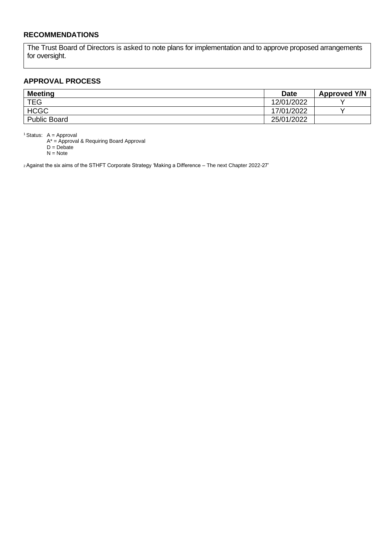## **RECOMMENDATIONS**

The Trust Board of Directors is asked to note plans for implementation and to approve proposed arrangements for oversight.

#### **APPROVAL PROCESS**

| <b>Meeting</b>      | <b>Date</b> | <b>Approved Y/N</b> |
|---------------------|-------------|---------------------|
| <b>TEG</b>          | 12/01/2022  |                     |
| <b>HCGC</b>         | 17/01/2022  |                     |
| <b>Public Board</b> | 25/01/2022  |                     |

<sup>1</sup> Status:  $A =$  Approval

A\* = Approval & Requiring Board Approval

D = Debate  $N = Note$ 

<sup>2</sup>Against the six aims of the STHFT Corporate Strategy 'Making a Difference – The next Chapter 2022-27'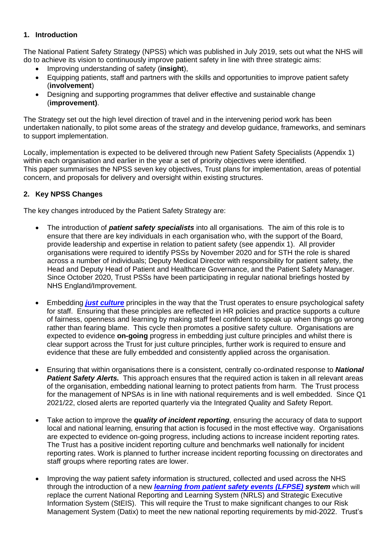### **1. Introduction**

The National Patient Safety Strategy (NPSS) which was published in July 2019, sets out what the NHS will do to achieve its vision to continuously improve patient safety in line with three strategic aims:

- Improving understanding of safety (**insight**),
- Equipping patients, staff and partners with the skills and opportunities to improve patient safety (**involvement**)
- Designing and supporting programmes that deliver effective and sustainable change (**improvement)**.

The Strategy set out the high level direction of travel and in the intervening period work has been undertaken nationally, to pilot some areas of the strategy and develop guidance, frameworks, and seminars to support implementation.

Locally, implementation is expected to be delivered through new Patient Safety Specialists (Appendix 1) within each organisation and earlier in the year a set of priority objectives were identified. This paper summarises the NPSS seven key objectives, Trust plans for implementation, areas of potential concern, and proposals for delivery and oversight within existing structures.

#### **2. Key NPSS Changes**

The key changes introduced by the Patient Safety Strategy are:

- The introduction of *patient safety specialists* into all organisations. The aim of this role is to ensure that there are key individuals in each organisation who, with the support of the Board, provide leadership and expertise in relation to patient safety (see appendix 1). All provider organisations were required to identify PSSs by November 2020 and for STH the role is shared across a number of individuals; Deputy Medical Director with responsibility for patient safety, the Head and Deputy Head of Patient and Healthcare Governance, and the Patient Safety Manager. Since October 2020, Trust PSSs have been participating in regular national briefings hosted by NHS England/Improvement.
- Embedding *[just culture](https://www.england.nhs.uk/patient-safety/a-just-culture-guide/)* principles in the way that the Trust operates to ensure psychological safety for staff. Ensuring that these principles are reflected in HR policies and practice supports a culture of fairness, openness and learning by making staff feel confident to speak up when things go wrong rather than fearing blame. This cycle then promotes a positive safety culture. Organisations are expected to evidence **on-going** progress in embedding just culture principles and whilst there is clear support across the Trust for just culture principles, further work is required to ensure and evidence that these are fully embedded and consistently applied across the organisation.
- Ensuring that within organisations there is a consistent, centrally co-ordinated response to *National*  **Patient Safety Alerts.** This approach ensures that the required action is taken in all relevant areas of the organisation, embedding national learning to protect patients from harm. The Trust process for the management of NPSAs is in line with national requirements and is well embedded. Since Q1 2021/22, closed alerts are reported quarterly via the Integrated Quality and Safety Report.
- Take action to improve the *quality of incident reporting*, ensuring the accuracy of data to support local and national learning, ensuring that action is focused in the most effective way. Organisations are expected to evidence on-going progress, including actions to increase incident reporting rates. The Trust has a positive incident reporting culture and benchmarks well nationally for incident reporting rates. Work is planned to further increase incident reporting focussing on directorates and staff groups where reporting rates are lower.
- Improving the way patient safety information is structured, collected and used across the NHS through the introduction of a new *learning [from patient safety events \(LFPSE\)](https://www.england.nhs.uk/patient-safety/patient-safety-incident-management-system/) system* which will replace the current National Reporting and Learning System (NRLS) and Strategic Executive Information System (StEIS). This will require the Trust to make significant changes to our Risk Management System (Datix) to meet the new national reporting requirements by mid-2022. Trust's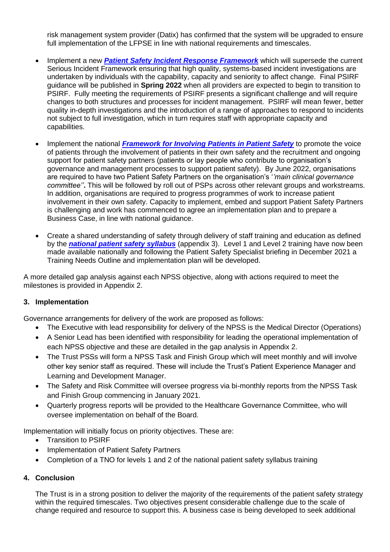risk management system provider (Datix) has confirmed that the system will be upgraded to ensure full implementation of the LFPSE in line with national requirements and timescales.

- Implement a new *[Patient Safety Incident Response Framework](https://www.england.nhs.uk/patient-safety/incident-response-framework/#psirf-implementation-timescales)* which will supersede the current Serious Incident Framework ensuring that high quality, systems-based incident investigations are undertaken by individuals with the capability, capacity and seniority to affect change. Final PSIRF guidance will be published in **Spring 2022** when all providers are expected to begin to transition to PSIRF. Fully meeting the requirements of PSIRF presents a significant challenge and will require changes to both structures and processes for incident management. PSIRF will mean fewer, better quality in-depth investigations and the introduction of a range of approaches to respond to incidents not subject to full investigation, which in turn requires staff with appropriate capacity and capabilities.
- Implement the national *[Framework for Involving Patients in Patient Safety](https://www.england.nhs.uk/patient-safety/framework-for-involving-patients-in-patient-safety/)* to promote the voice of patients through the involvement of patients in their own safety and the recruitment and ongoing support for patient safety partners (patients or lay people who contribute to organisation's governance and management processes to support patient safety). By June 2022, organisations are required to have two Patient Safety Partners on the organisation's '*'main clinical governance committee''***.** This will be followed by roll out of PSPs across other relevant groups and workstreams. In addition, organisations are required to progress programmes of work to increase patient involvement in their own safety. Capacity to implement, embed and support Patient Safety Partners is challenging and work has commenced to agree an implementation plan and to prepare a Business Case, in line with national guidance.
- Create a shared understanding of safety through delivery of staff training and education as defined by the *[national patient safety syllabus](https://www.hee.nhs.uk/our-work/patient-safety)* (appendix 3). Level 1 and Level 2 training have now been made available nationally and following the Patient Safety Specialist briefing in December 2021 a Training Needs Outline and implementation plan will be developed.

A more detailed gap analysis against each NPSS objective, along with actions required to meet the milestones is provided in Appendix 2.

#### **3. Implementation**

Governance arrangements for delivery of the work are proposed as follows:

- The Executive with lead responsibility for delivery of the NPSS is the Medical Director (Operations)
- A Senior Lead has been identified with responsibility for leading the operational implementation of each NPSS objective and these are detailed in the gap analysis in Appendix 2.
- The Trust PSSs will form a NPSS Task and Finish Group which will meet monthly and will involve other key senior staff as required. These will include the Trust's Patient Experience Manager and Learning and Development Manager.
- The Safety and Risk Committee will oversee progress via bi-monthly reports from the NPSS Task and Finish Group commencing in January 2021.
- Quarterly progress reports will be provided to the Healthcare Governance Committee, who will oversee implementation on behalf of the Board.

Implementation will initially focus on priority objectives. These are:

- Transition to PSIRF
- Implementation of Patient Safety Partners
- Completion of a TNO for levels 1 and 2 of the national patient safety syllabus training

#### **4. Conclusion**

The Trust is in a strong position to deliver the majority of the requirements of the patient safety strategy within the required timescales. Two objectives present considerable challenge due to the scale of change required and resource to support this. A business case is being developed to seek additional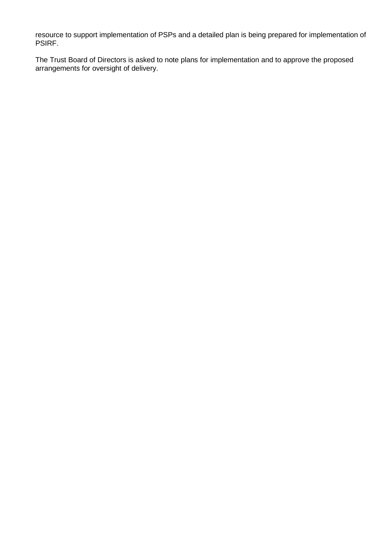resource to support implementation of PSPs and a detailed plan is being prepared for implementation of PSIRF.

The Trust Board of Directors is asked to note plans for implementation and to approve the proposed arrangements for oversight of delivery.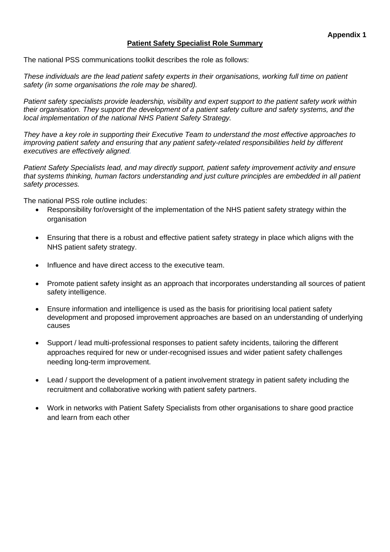#### **Patient Safety Specialist Role Summary**

The national PSS communications toolkit describes the role as follows:

*These individuals are the lead patient safety experts in their organisations, working full time on patient safety (in some organisations the role may be shared).*

*Patient safety specialists provide leadership, visibility and expert support to the patient safety work within their organisation. They support the development of a patient safety culture and safety systems, and the local implementation of the national NHS Patient Safety Strategy.*

*They have a key role in supporting their Executive Team to understand the most effective approaches to improving patient safety and ensuring that any patient safety-related responsibilities held by different executives are effectively aligned.*

*Patient Safety Specialists lead, and may directly support, patient safety improvement activity and ensure that systems thinking, human factors understanding and just culture principles are embedded in all patient safety processes.*

The national PSS role outline includes:

- Responsibility for/oversight of the implementation of the NHS patient safety strategy within the organisation
- Ensuring that there is a robust and effective patient safety strategy in place which aligns with the NHS patient safety strategy.
- Influence and have direct access to the executive team.
- Promote patient safety insight as an approach that incorporates understanding all sources of patient safety intelligence.
- Ensure information and intelligence is used as the basis for prioritising local patient safety development and proposed improvement approaches are based on an understanding of underlying causes
- Support / lead multi-professional responses to patient safety incidents, tailoring the different approaches required for new or under-recognised issues and wider patient safety challenges needing long-term improvement.
- Lead / support the development of a patient involvement strategy in patient safety including the recruitment and collaborative working with patient safety partners.
- Work in networks with Patient Safety Specialists from other organisations to share good practice and learn from each other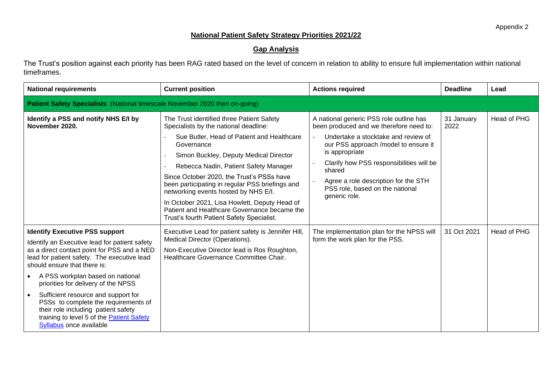## **National Patient Safety Strategy Priorities 2021/22**

## **Gap Analysis**

The Trust's position against each priority has been RAG rated based on the level of concern in relation to ability to ensure full implementation within national timeframes.

| <b>National requirements</b>                                                                                                                                                                                                                                                                                                                                                                                                                                                                               | <b>Current position</b>                                                                                                                                                                                                                                                                                                                                                                                                                                                                                                 | <b>Actions required</b>                                                                                                                                                                                                                                                                                                               | <b>Deadline</b>    | Lead        |  |  |
|------------------------------------------------------------------------------------------------------------------------------------------------------------------------------------------------------------------------------------------------------------------------------------------------------------------------------------------------------------------------------------------------------------------------------------------------------------------------------------------------------------|-------------------------------------------------------------------------------------------------------------------------------------------------------------------------------------------------------------------------------------------------------------------------------------------------------------------------------------------------------------------------------------------------------------------------------------------------------------------------------------------------------------------------|---------------------------------------------------------------------------------------------------------------------------------------------------------------------------------------------------------------------------------------------------------------------------------------------------------------------------------------|--------------------|-------------|--|--|
| <b>Patient Safety Specialists</b> (National timescale November 2020 then on-going)                                                                                                                                                                                                                                                                                                                                                                                                                         |                                                                                                                                                                                                                                                                                                                                                                                                                                                                                                                         |                                                                                                                                                                                                                                                                                                                                       |                    |             |  |  |
| Identify a PSS and notify NHS E/I by<br>November 2020.                                                                                                                                                                                                                                                                                                                                                                                                                                                     | The Trust identified three Patient Safety<br>Specialists by the national deadline:<br>Sue Butler, Head of Patient and Healthcare<br>Governance<br>Simon Buckley, Deputy Medical Director<br>Rebecca Nadin, Patient Safety Manager<br>Since October 2020, the Trust's PSSs have<br>been participating in regular PSS briefings and<br>networking events hosted by NHS E/I.<br>In October 2021, Lisa Howlett, Deputy Head of<br>Patient and Healthcare Governance became the<br>Trust's fourth Patient Safety Specialist. | A national generic PSS role outline has<br>been produced and we therefore need to:<br>Undertake a stocktake and review of<br>our PSS approach /model to ensure it<br>is appropriate<br>Clarify how PSS responsibilities will be<br>shared<br>Agree a role description for the STH<br>PSS role, based on the national<br>generic role. | 31 January<br>2022 | Head of PHG |  |  |
| <b>Identify Executive PSS support</b><br>Identify an Executive lead for patient safety<br>as a direct contact point for PSS and a NED<br>lead for patient safety. The executive lead<br>should ensure that there is:<br>A PSS workplan based on national<br>priorities for delivery of the NPSS<br>Sufficient resource and support for<br>$\bullet$<br>PSSs to complete the requirements of<br>their role including patient safety<br>training to level 5 of the Patient Safety<br>Syllabus once available | Executive Lead for patient safety is Jennifer Hill,<br>Medical Director (Operations).<br>Non-Executive Director lead is Ros Roughton,<br>Healthcare Governance Committee Chair.                                                                                                                                                                                                                                                                                                                                         | The implementation plan for the NPSS will<br>form the work plan for the PSS.                                                                                                                                                                                                                                                          | 31 Oct 2021        | Head of PHG |  |  |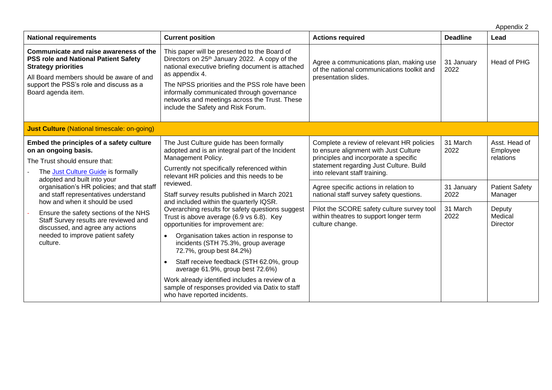|                                                                                                                                                                                                                                  |                                                                                                                                                                                                                                                                                                                                                                                                                                                              |                                                                                                                                                                                                         |                    | Appendix 2                             |
|----------------------------------------------------------------------------------------------------------------------------------------------------------------------------------------------------------------------------------|--------------------------------------------------------------------------------------------------------------------------------------------------------------------------------------------------------------------------------------------------------------------------------------------------------------------------------------------------------------------------------------------------------------------------------------------------------------|---------------------------------------------------------------------------------------------------------------------------------------------------------------------------------------------------------|--------------------|----------------------------------------|
| <b>National requirements</b>                                                                                                                                                                                                     | <b>Current position</b>                                                                                                                                                                                                                                                                                                                                                                                                                                      | <b>Actions required</b>                                                                                                                                                                                 | <b>Deadline</b>    | Lead                                   |
| Communicate and raise awareness of the<br><b>PSS role and National Patient Safety</b><br><b>Strategy priorities</b><br>All Board members should be aware of and<br>support the PSS's role and discuss as a<br>Board agenda item. | This paper will be presented to the Board of<br>Directors on 25 <sup>th</sup> January 2022. A copy of the<br>national executive briefing document is attached<br>as appendix 4.<br>The NPSS priorities and the PSS role have been<br>informally communicated through governance<br>networks and meetings across the Trust. These<br>include the Safety and Risk Forum.                                                                                       | Agree a communications plan, making use<br>of the national communications toolkit and<br>presentation slides.                                                                                           | 31 January<br>2022 | Head of PHG                            |
| <b>Just Culture (National timescale: on-going)</b>                                                                                                                                                                               |                                                                                                                                                                                                                                                                                                                                                                                                                                                              |                                                                                                                                                                                                         |                    |                                        |
| Embed the principles of a safety culture<br>on an ongoing basis.<br>The Trust should ensure that:<br>The Just Culture Guide is formally                                                                                          | The Just Culture guide has been formally<br>adopted and is an integral part of the Incident<br>Management Policy.<br>Currently not specifically referenced within<br>relevant HR policies and this needs to be<br>reviewed.<br>Staff survey results published in March 2021<br>and included within the quarterly IQSR.<br>Overarching results for safety questions suggest<br>Trust is above average (6.9 vs 6.8). Key<br>opportunities for improvement are: | Complete a review of relevant HR policies<br>to ensure alignment with Just Culture<br>principles and incorporate a specific<br>statement regarding Just Culture. Build<br>into relevant staff training. | 31 March<br>2022   | Asst. Head of<br>Employee<br>relations |
| adopted and built into your<br>organisation's HR policies; and that staff<br>and staff representatives understand                                                                                                                |                                                                                                                                                                                                                                                                                                                                                                                                                                                              | Agree specific actions in relation to<br>national staff survey safety questions.                                                                                                                        | 31 January<br>2022 | <b>Patient Safety</b><br>Manager       |
| how and when it should be used<br>Ensure the safety sections of the NHS<br>Staff Survey results are reviewed and<br>discussed, and agree any actions                                                                             |                                                                                                                                                                                                                                                                                                                                                                                                                                                              | Pilot the SCORE safety culture survey tool<br>within theatres to support longer term<br>culture change.                                                                                                 | 31 March<br>2022   | Deputy<br>Medical<br>Director          |
| needed to improve patient safety<br>culture.                                                                                                                                                                                     | Organisation takes action in response to<br>$\bullet$<br>incidents (STH 75.3%, group average<br>72.7%, group best 84.2%)                                                                                                                                                                                                                                                                                                                                     |                                                                                                                                                                                                         |                    |                                        |
|                                                                                                                                                                                                                                  | Staff receive feedback (STH 62.0%, group<br>$\bullet$<br>average 61.9%, group best 72.6%)                                                                                                                                                                                                                                                                                                                                                                    |                                                                                                                                                                                                         |                    |                                        |
|                                                                                                                                                                                                                                  | Work already identified includes a review of a<br>sample of responses provided via Datix to staff<br>who have reported incidents.                                                                                                                                                                                                                                                                                                                            |                                                                                                                                                                                                         |                    |                                        |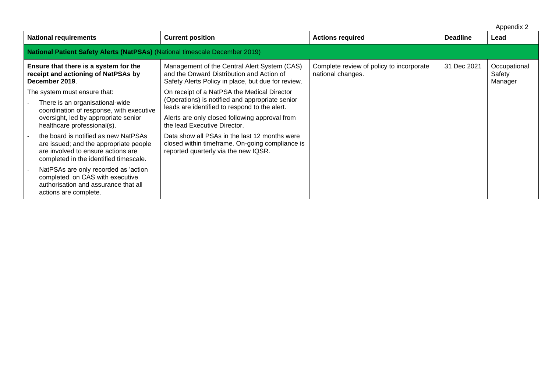Appendix 2

| <b>National requirements</b>                                                                                                                                   | <b>Current position</b>                                                                                                                         | <b>Actions required</b>                                       | <b>Deadline</b> | Lead                              |  |  |
|----------------------------------------------------------------------------------------------------------------------------------------------------------------|-------------------------------------------------------------------------------------------------------------------------------------------------|---------------------------------------------------------------|-----------------|-----------------------------------|--|--|
| National Patient Safety Alerts (NatPSAs) (National timescale December 2019)                                                                                    |                                                                                                                                                 |                                                               |                 |                                   |  |  |
| Ensure that there is a system for the<br>receipt and actioning of NatPSAs by<br>December 2019.                                                                 | Management of the Central Alert System (CAS)<br>and the Onward Distribution and Action of<br>Safety Alerts Policy in place, but due for review. | Complete review of policy to incorporate<br>national changes. | 31 Dec 2021     | Occupational<br>Safety<br>Manager |  |  |
| The system must ensure that:                                                                                                                                   | On receipt of a NatPSA the Medical Director                                                                                                     |                                                               |                 |                                   |  |  |
| There is an organisational-wide<br>coordination of response, with executive                                                                                    | (Operations) is notified and appropriate senior<br>leads are identified to respond to the alert.                                                |                                                               |                 |                                   |  |  |
| oversight, led by appropriate senior<br>healthcare professional(s).                                                                                            | Alerts are only closed following approval from<br>the lead Executive Director.                                                                  |                                                               |                 |                                   |  |  |
| the board is notified as new NatPSAs<br>are issued; and the appropriate people<br>are involved to ensure actions are<br>completed in the identified timescale. | Data show all PSAs in the last 12 months were<br>closed within timeframe. On-going compliance is<br>reported quarterly via the new IQSR.        |                                                               |                 |                                   |  |  |
| NatPSAs are only recorded as 'action<br>completed' on CAS with executive<br>authorisation and assurance that all<br>actions are complete.                      |                                                                                                                                                 |                                                               |                 |                                   |  |  |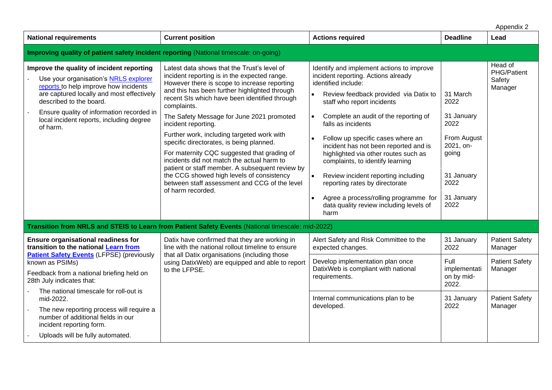|                                                                                                                                                                                                                                                                                                          |                                                                                                                                                                                                                                                                                                                                                                                                                                                                                                                                                                                                                                                                                               |                                                                                                                                                                                                                                                                                                                                                                                                                                                                                                                                                                                                                                               |                                                                                                                         | Appendix 2                                  |
|----------------------------------------------------------------------------------------------------------------------------------------------------------------------------------------------------------------------------------------------------------------------------------------------------------|-----------------------------------------------------------------------------------------------------------------------------------------------------------------------------------------------------------------------------------------------------------------------------------------------------------------------------------------------------------------------------------------------------------------------------------------------------------------------------------------------------------------------------------------------------------------------------------------------------------------------------------------------------------------------------------------------|-----------------------------------------------------------------------------------------------------------------------------------------------------------------------------------------------------------------------------------------------------------------------------------------------------------------------------------------------------------------------------------------------------------------------------------------------------------------------------------------------------------------------------------------------------------------------------------------------------------------------------------------------|-------------------------------------------------------------------------------------------------------------------------|---------------------------------------------|
| <b>National requirements</b>                                                                                                                                                                                                                                                                             | <b>Current position</b>                                                                                                                                                                                                                                                                                                                                                                                                                                                                                                                                                                                                                                                                       | <b>Actions required</b>                                                                                                                                                                                                                                                                                                                                                                                                                                                                                                                                                                                                                       | <b>Deadline</b>                                                                                                         | Lead                                        |
| Improving quality of patient safety incident reporting (National timescale: on-going)                                                                                                                                                                                                                    |                                                                                                                                                                                                                                                                                                                                                                                                                                                                                                                                                                                                                                                                                               |                                                                                                                                                                                                                                                                                                                                                                                                                                                                                                                                                                                                                                               |                                                                                                                         |                                             |
| Improve the quality of incident reporting<br>Use your organisation's NRLS explorer<br>reports to help improve how incidents<br>are captured locally and most effectively<br>described to the board.<br>Ensure quality of information recorded in<br>local incident reports, including degree<br>of harm. | Latest data shows that the Trust's level of<br>incident reporting is in the expected range.<br>However there is scope to increase reporting<br>and this has been further highlighted through<br>recent SIs which have been identified through<br>complaints.<br>The Safety Message for June 2021 promoted<br>incident reporting.<br>Further work, including targeted work with<br>specific directorates, is being planned.<br>For maternity CQC suggested that grading of<br>incidents did not match the actual harm to<br>patient or staff member. A subsequent review by<br>the CCG showed high levels of consistency<br>between staff assessment and CCG of the level<br>of harm recorded. | Identify and implement actions to improve<br>incident reporting. Actions already<br>identified include:<br>Review feedback provided via Datix to<br>$\bullet$<br>staff who report incidents<br>Complete an audit of the reporting of<br>$\bullet$<br>falls as incidents<br>Follow up specific cases where an<br>$\bullet$<br>incident has not been reported and is<br>highlighted via other routes such as<br>complaints, to identify learning<br>$\bullet$<br>Review incident reporting including<br>reporting rates by directorate<br>Agree a process/rolling programme for<br>$\bullet$<br>data quality review including levels of<br>harm | 31 March<br>2022<br>31 January<br>2022<br>From August<br>2021, on-<br>going<br>31 January<br>2022<br>31 January<br>2022 | Head of<br>PHG/Patient<br>Safety<br>Manager |
|                                                                                                                                                                                                                                                                                                          | Transition from NRLS and STEIS to Learn from Patient Safety Events (National timescale: mid-2022)                                                                                                                                                                                                                                                                                                                                                                                                                                                                                                                                                                                             |                                                                                                                                                                                                                                                                                                                                                                                                                                                                                                                                                                                                                                               |                                                                                                                         |                                             |
| <b>Ensure organisational readiness for</b><br>transition to the national Learn from                                                                                                                                                                                                                      | Datix have confirmed that they are working in<br>line with the national rollout timeline to ensure                                                                                                                                                                                                                                                                                                                                                                                                                                                                                                                                                                                            | Alert Safety and Risk Committee to the<br>expected changes.                                                                                                                                                                                                                                                                                                                                                                                                                                                                                                                                                                                   | 31 January<br>2022                                                                                                      | <b>Patient Safety</b><br>Manager            |
| <b>Patient Safety Events (LFPSE) (previously</b><br>known as PSIMs)<br>Feedback from a national briefing held on<br>28th July indicates that:                                                                                                                                                            | that all Datix organisations (including those<br>using DatixWeb) are equipped and able to report<br>to the LFPSE.                                                                                                                                                                                                                                                                                                                                                                                                                                                                                                                                                                             | Develop implementation plan once<br>DatixWeb is compliant with national<br>requirements.                                                                                                                                                                                                                                                                                                                                                                                                                                                                                                                                                      | Full<br>implementati<br>on by mid-<br>2022.                                                                             | <b>Patient Safety</b><br>Manager            |
| The national timescale for roll-out is<br>mid-2022.<br>The new reporting process will require a<br>number of additional fields in our<br>incident reporting form.<br>Uploads will be fully automated.                                                                                                    |                                                                                                                                                                                                                                                                                                                                                                                                                                                                                                                                                                                                                                                                                               | Internal communications plan to be<br>developed.                                                                                                                                                                                                                                                                                                                                                                                                                                                                                                                                                                                              | 31 January<br>2022                                                                                                      | <b>Patient Safety</b><br>Manager            |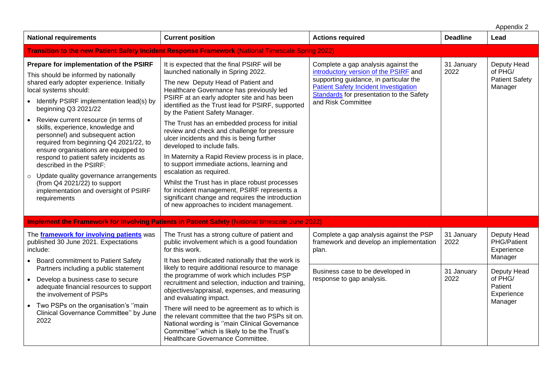|                                                                                                                                                                                                                                                                                                                                                                                                                                                                                                                                                                                                                                                                  |                                                                                                                                                                                                                                                                                                                                                                                                                                                                                                                                                                                                                                                                                                                                                                                                                       |                                                                                                                                                                                                                                          |                    | Appendix 2                                                 |
|------------------------------------------------------------------------------------------------------------------------------------------------------------------------------------------------------------------------------------------------------------------------------------------------------------------------------------------------------------------------------------------------------------------------------------------------------------------------------------------------------------------------------------------------------------------------------------------------------------------------------------------------------------------|-----------------------------------------------------------------------------------------------------------------------------------------------------------------------------------------------------------------------------------------------------------------------------------------------------------------------------------------------------------------------------------------------------------------------------------------------------------------------------------------------------------------------------------------------------------------------------------------------------------------------------------------------------------------------------------------------------------------------------------------------------------------------------------------------------------------------|------------------------------------------------------------------------------------------------------------------------------------------------------------------------------------------------------------------------------------------|--------------------|------------------------------------------------------------|
| <b>National requirements</b>                                                                                                                                                                                                                                                                                                                                                                                                                                                                                                                                                                                                                                     | <b>Current position</b>                                                                                                                                                                                                                                                                                                                                                                                                                                                                                                                                                                                                                                                                                                                                                                                               | <b>Actions required</b>                                                                                                                                                                                                                  | <b>Deadline</b>    | Lead                                                       |
|                                                                                                                                                                                                                                                                                                                                                                                                                                                                                                                                                                                                                                                                  | Transition to the new Patient Safety Incident Response Framework (National Timescale Spring 2022)                                                                                                                                                                                                                                                                                                                                                                                                                                                                                                                                                                                                                                                                                                                     |                                                                                                                                                                                                                                          |                    |                                                            |
| Prepare for implementation of the PSIRF<br>This should be informed by nationally<br>shared early adopter experience. Initially<br>local systems should:<br>• Identify PSIRF implementation lead(s) by<br>beginning Q3 2021/22<br>Review current resource (in terms of<br>$\bullet$<br>skills, experience, knowledge and<br>personnel) and subsequent action<br>required from beginning Q4 2021/22, to<br>ensure organisations are equipped to<br>respond to patient safety incidents as<br>described in the PSIRF:<br>Update quality governance arrangements<br>$\circ$<br>(from Q4 2021/22) to support<br>implementation and oversight of PSIRF<br>requirements | It is expected that the final PSIRF will be<br>launched nationally in Spring 2022.<br>The new Deputy Head of Patient and<br>Healthcare Governance has previously led<br>PSIRF at an early adopter site and has been<br>identified as the Trust lead for PSIRF, supported<br>by the Patient Safety Manager.<br>The Trust has an embedded process for initial<br>review and check and challenge for pressure<br>ulcer incidents and this is being further<br>developed to include falls.<br>In Maternity a Rapid Review process is in place,<br>to support immediate actions, learning and<br>escalation as required.<br>Whilst the Trust has in place robust processes<br>for incident management, PSIRF represents a<br>significant change and requires the introduction<br>of new approaches to incident management. | Complete a gap analysis against the<br>introductory version of the PSIRF and<br>supporting guidance, in particular the<br><b>Patient Safety Incident Investigation</b><br>Standards for presentation to the Safety<br>and Risk Committee | 31 January<br>2022 | Deputy Head<br>of PHG/<br><b>Patient Safety</b><br>Manager |
|                                                                                                                                                                                                                                                                                                                                                                                                                                                                                                                                                                                                                                                                  | Implement the Framework for Involving Patients in Patient Safety (National timescale June 2022)                                                                                                                                                                                                                                                                                                                                                                                                                                                                                                                                                                                                                                                                                                                       |                                                                                                                                                                                                                                          |                    |                                                            |
| The <b>framework for involving patients</b> was<br>published 30 June 2021. Expectations<br>include:<br>Board commitment to Patient Safety                                                                                                                                                                                                                                                                                                                                                                                                                                                                                                                        | The Trust has a strong culture of patient and<br>public involvement which is a good foundation<br>for this work.<br>It has been indicated nationally that the work is                                                                                                                                                                                                                                                                                                                                                                                                                                                                                                                                                                                                                                                 | Complete a gap analysis against the PSP<br>framework and develop an implementation<br>plan.                                                                                                                                              | 31 January<br>2022 | Deputy Head<br>PHG/Patient<br>Experience<br>Manager        |
| Partners including a public statement<br>Develop a business case to secure<br>$\bullet$<br>adequate financial resources to support<br>the involvement of PSPs<br>Two PSPs on the organisation's "main<br>Clinical Governance Committee" by June<br>2022                                                                                                                                                                                                                                                                                                                                                                                                          | likely to require additional resource to manage<br>the programme of work which includes PSP<br>recruitment and selection, induction and training,<br>objectives/appraisal, expenses, and measuring<br>and evaluating impact.<br>There will need to be agreement as to which is<br>the relevant committee that the two PSPs sit on.<br>National wording is "main Clinical Governance<br>Committee" which is likely to be the Trust's<br>Healthcare Governance Committee.                                                                                                                                                                                                                                                                                                                                               | Business case to be developed in<br>response to gap analysis.                                                                                                                                                                            | 31 January<br>2022 | Deputy Head<br>of PHG/<br>Patient<br>Experience<br>Manager |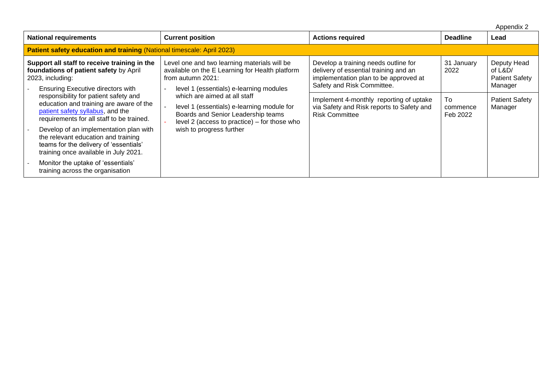Appendix 2

| <b>National requirements</b>                                                                                                                                      | <b>Current position</b>                                                                                                                                                                                                                                                                                                                | <b>Actions required</b>                                                                                                                              | <b>Deadline</b>             | . .<br>Lead                                                  |  |  |  |
|-------------------------------------------------------------------------------------------------------------------------------------------------------------------|----------------------------------------------------------------------------------------------------------------------------------------------------------------------------------------------------------------------------------------------------------------------------------------------------------------------------------------|------------------------------------------------------------------------------------------------------------------------------------------------------|-----------------------------|--------------------------------------------------------------|--|--|--|
| <b>Patient safety education and training (National timescale: April 2023)</b>                                                                                     |                                                                                                                                                                                                                                                                                                                                        |                                                                                                                                                      |                             |                                                              |  |  |  |
| Support all staff to receive training in the<br>foundations of patient safety by April<br>2023, including:<br>Ensuring Executive directors with                   | Level one and two learning materials will be<br>available on the E Learning for Health platform<br>from autumn $2021$ :<br>level 1 (essentials) e-learning modules<br>which are aimed at all staff<br>level 1 (essentials) e-learning module for<br>Boards and Senior Leadership teams<br>level 2 (access to practice) – for those who | Develop a training needs outline for<br>delivery of essential training and an<br>implementation plan to be approved at<br>Safety and Risk Committee. | 31 January<br>2022          | Deputy Head<br>of $L&D/$<br><b>Patient Safety</b><br>Manager |  |  |  |
| responsibility for patient safety and<br>education and training are aware of the<br>patient safety syllabus, and the<br>requirements for all staff to be trained. |                                                                                                                                                                                                                                                                                                                                        | Implement 4-monthly reporting of uptake<br>via Safety and Risk reports to Safety and<br><b>Risk Committee</b>                                        | Tο.<br>commence<br>Feb 2022 | <b>Patient Safety</b><br>Manager                             |  |  |  |
| Develop of an implementation plan with<br>the relevant education and training<br>teams for the delivery of 'essentials'<br>training once available in July 2021.  | wish to progress further                                                                                                                                                                                                                                                                                                               |                                                                                                                                                      |                             |                                                              |  |  |  |
| Monitor the uptake of 'essentials'<br>training across the organisation                                                                                            |                                                                                                                                                                                                                                                                                                                                        |                                                                                                                                                      |                             |                                                              |  |  |  |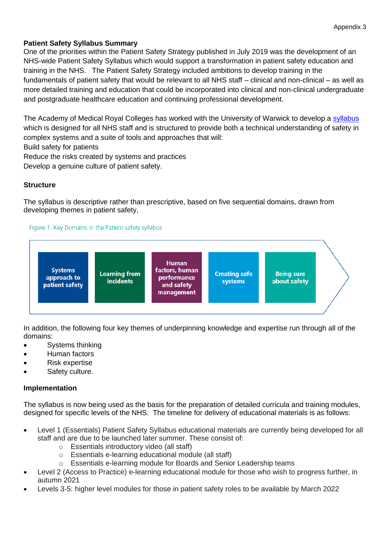## **Patient Safety Syllabus Summary**

One of the priorities within the Patient Safety Strategy published in July 2019 was the development of an NHS-wide Patient Safety Syllabus which would support a transformation in patient safety education and training in the NHS. The Patient Safety Strategy included ambitions to develop training in the fundamentals of patient safety that would be relevant to all NHS staff – clinical and non-clinical – as well as more detailed training and education that could be incorporated into clinical and non-clinical undergraduate and postgraduate healthcare education and continuing professional development.

The Academy of Medical Royal Colleges has worked with the University of Warwick to develop a [syllabus](https://healtheducationengland.sharepoint.com/Comms/Digital/Shared%20Documents/Forms/AllItems.aspx?id=%2FComms%2FDigital%2FShared%20Documents%2Fhee%2Enhs%2Euk%20documents%2FWebsite%20files%2FPatient%20Safety%20Syllabus%2FNational%20patient%20safety%20syllabus%2Epdf&parent=%2FComms%2FDigital%2FShared%20Documents%2Fhee%2Enhs%2Euk%20documents%2FWebsite%20files%2FPatient%20Safety%20Syllabus&p=true&originalPath=aHR0cHM6Ly9oZWFsdGhlZHVjYXRpb25lbmdsYW5kLnNoYXJlcG9pbnQuY29tLzpiOi9nL0NvbW1zL0RpZ2l0YWwvRVR1aHhyV0VCeGxEbFhJNWZvckl1aFlCb0Jpem9jYnBMMjBPSHhGRngyTUlqUT9ydGltZT1La29McjdWTjJVZw) which is designed for all NHS staff and is structured to provide both a technical understanding of safety in complex systems and a suite of tools and approaches that will:

Build safety for patients

Reduce the risks created by systems and practices

Develop a genuine culture of patient safety.

#### **Structure**

The syllabus is descriptive rather than prescriptive, based on five sequential domains, drawn from developing themes in patient safety,

#### Figure 1. Key Domains in the Patient safety syllabus



In addition, the following four key themes of underpinning knowledge and expertise run through all of the domains:

- Systems thinking
- Human factors
- Risk expertise
- Safety culture.

### **Implementation**

The syllabus is now being used as the basis for the preparation of detailed curricula and training modules, designed for specific levels of the NHS. The timeline for delivery of educational materials is as follows:

- Level 1 (Essentials) Patient Safety Syllabus educational materials are currently being developed for all staff and are due to be launched later summer. These consist of:
	- o Essentials introductory video (all staff)
	- o Essentials e-learning educational module (all staff)
	- o Essentials e-learning module for Boards and Senior Leadership teams
- Level 2 (Access to Practice) e-learning educational module for those who wish to progress further, in autumn 2021
- Levels 3-5: higher level modules for those in patient safety roles to be available by March 2022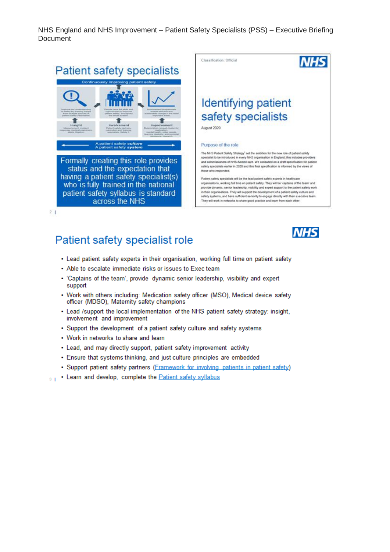NHS England and NHS Improvement - Patient Safety Specialists (PSS) - Executive Briefing Document



# Patient safety specialist role



- Lead patient safety experts in their organisation, working full time on patient safety
- Able to escalate immediate risks or issues to Exec team
- 'Captains of the team', provide dynamic senior leadership, visibility and expert support
- Work with others including: Medication safety officer (MSO), Medical device safety officer (MDSO), Maternity safety champions
- . Lead /support the local implementation of the NHS patient safety strategy: insight, involvement and improvement
- Support the development of a patient safety culture and safety systems
- Work in networks to share and learn
- . Lead, and may directly support, patient safety improvement activity
- Ensure that systems thinking, and just culture principles are embedded
- · Support patient safety partners (Framework for involving patients in patient safety)
- Learn and develop, complete the Patient safety syllabus  $3<sub>1</sub>$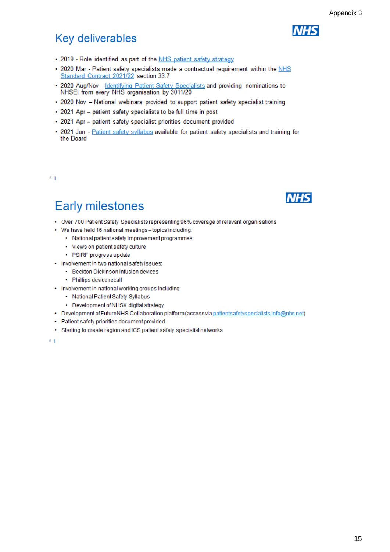# Key deliverables

- 2019 Role identified as part of the NHS patient safety strategy
- . 2020 Mar Patient safety specialists made a contractual requirement within the NHS Standard Contract 2021/22 section 33.7
- 2020 Aug/Nov Identifying Patient Safety Specialists and providing nominations to NHSEI from every NHS organisation by 3011/20
- · 2020 Nov National webinars provided to support patient safety specialist training
- 2021 Apr patient safety specialists to be full time in post
- · 2021 Apr patient safety specialist priorities document provided
- 2021 Jun Patient safety syllabus available for patient safety specialists and training for the Board

 $5<sub>1</sub>$ 

# **Early milestones**

- Over 700 Patient Safety Specialists representing 96% coverage of relevant organisations
- We have held 16 national meetings-topics including:
	- · National patient safety improvement programmes
		- Views on patient safety culture
	- · PSIRF progress update
- · Involvement in two national safety issues:
	- Beckton Dickinson infusion devices
		- Phillips device recall
- · Involvement in national working groups including:
	- · National Patient Safety Syllabus
	- Development of NHSX digital strategy
- . Development of FutureNHS Collaboration platform (access via patients afetyspecialists.info@nhs.net)
- Patient safety priorities document provided
- · Starting to create region and ICS patient safety specialist networks

 $6<sub>1</sub>$